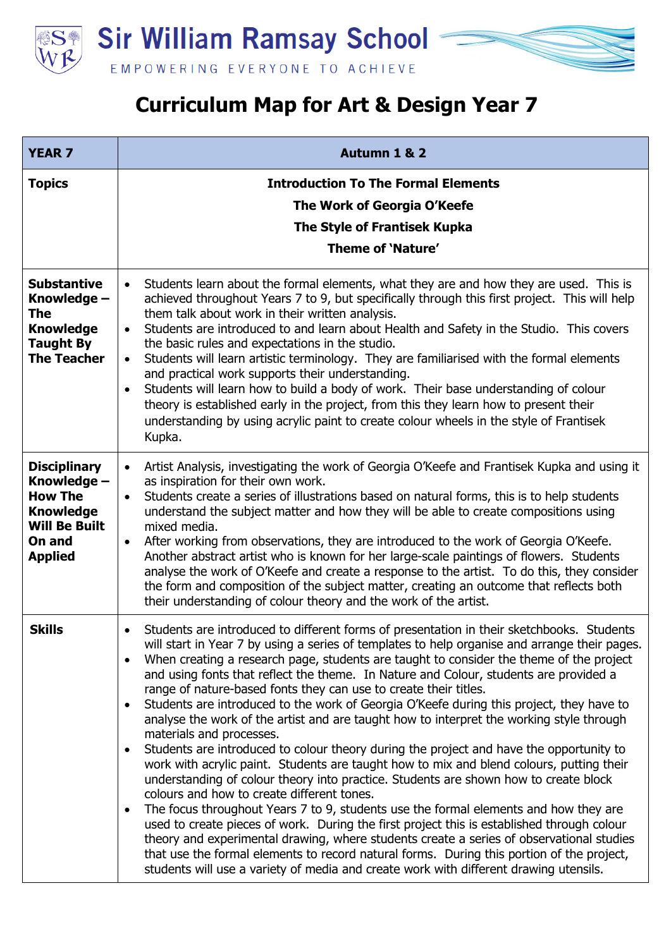**Sir William Ramsay School** EMPOWERING EVERYONE TO ACHIEVE

## **Curriculum Map for Art & Design Year 7**

| <b>YEAR 7</b>                                                                                                                | Autumn 1 & 2                                                                                                                                                                                                                                                                                                                                                                                                                                                                                                                                                                                                                                                                                                                                                                                                                                                                                                                                                                                                                                                                                                                                                                                                                                                                                                                                                                                                                                                                                                                                 |
|------------------------------------------------------------------------------------------------------------------------------|----------------------------------------------------------------------------------------------------------------------------------------------------------------------------------------------------------------------------------------------------------------------------------------------------------------------------------------------------------------------------------------------------------------------------------------------------------------------------------------------------------------------------------------------------------------------------------------------------------------------------------------------------------------------------------------------------------------------------------------------------------------------------------------------------------------------------------------------------------------------------------------------------------------------------------------------------------------------------------------------------------------------------------------------------------------------------------------------------------------------------------------------------------------------------------------------------------------------------------------------------------------------------------------------------------------------------------------------------------------------------------------------------------------------------------------------------------------------------------------------------------------------------------------------|
| <b>Topics</b>                                                                                                                | <b>Introduction To The Formal Elements</b><br>The Work of Georgia O'Keefe<br>The Style of Frantisek Kupka<br><b>Theme of 'Nature'</b>                                                                                                                                                                                                                                                                                                                                                                                                                                                                                                                                                                                                                                                                                                                                                                                                                                                                                                                                                                                                                                                                                                                                                                                                                                                                                                                                                                                                        |
| <b>Substantive</b><br>Knowledge -<br><b>The</b><br><b>Knowledge</b><br><b>Taught By</b><br><b>The Teacher</b>                | Students learn about the formal elements, what they are and how they are used. This is<br>$\bullet$<br>achieved throughout Years 7 to 9, but specifically through this first project. This will help<br>them talk about work in their written analysis.<br>Students are introduced to and learn about Health and Safety in the Studio. This covers<br>$\bullet$<br>the basic rules and expectations in the studio.<br>Students will learn artistic terminology. They are familiarised with the formal elements<br>$\bullet$<br>and practical work supports their understanding.<br>Students will learn how to build a body of work. Their base understanding of colour<br>$\bullet$<br>theory is established early in the project, from this they learn how to present their<br>understanding by using acrylic paint to create colour wheels in the style of Frantisek<br>Kupka.                                                                                                                                                                                                                                                                                                                                                                                                                                                                                                                                                                                                                                                             |
| <b>Disciplinary</b><br>Knowledge -<br><b>How The</b><br><b>Knowledge</b><br><b>Will Be Built</b><br>On and<br><b>Applied</b> | Artist Analysis, investigating the work of Georgia O'Keefe and Frantisek Kupka and using it<br>$\bullet$<br>as inspiration for their own work.<br>Students create a series of illustrations based on natural forms, this is to help students<br>$\bullet$<br>understand the subject matter and how they will be able to create compositions using<br>mixed media.<br>After working from observations, they are introduced to the work of Georgia O'Keefe.<br>$\bullet$<br>Another abstract artist who is known for her large-scale paintings of flowers. Students<br>analyse the work of O'Keefe and create a response to the artist. To do this, they consider<br>the form and composition of the subject matter, creating an outcome that reflects both<br>their understanding of colour theory and the work of the artist.                                                                                                                                                                                                                                                                                                                                                                                                                                                                                                                                                                                                                                                                                                                |
| <b>Skills</b>                                                                                                                | Students are introduced to different forms of presentation in their sketchbooks. Students<br>$\bullet$<br>will start in Year 7 by using a series of templates to help organise and arrange their pages.<br>When creating a research page, students are taught to consider the theme of the project<br>$\bullet$<br>and using fonts that reflect the theme. In Nature and Colour, students are provided a<br>range of nature-based fonts they can use to create their titles.<br>Students are introduced to the work of Georgia O'Keefe during this project, they have to<br>$\bullet$<br>analyse the work of the artist and are taught how to interpret the working style through<br>materials and processes.<br>Students are introduced to colour theory during the project and have the opportunity to<br>$\bullet$<br>work with acrylic paint. Students are taught how to mix and blend colours, putting their<br>understanding of colour theory into practice. Students are shown how to create block<br>colours and how to create different tones.<br>The focus throughout Years 7 to 9, students use the formal elements and how they are<br>$\bullet$<br>used to create pieces of work. During the first project this is established through colour<br>theory and experimental drawing, where students create a series of observational studies<br>that use the formal elements to record natural forms. During this portion of the project,<br>students will use a variety of media and create work with different drawing utensils. |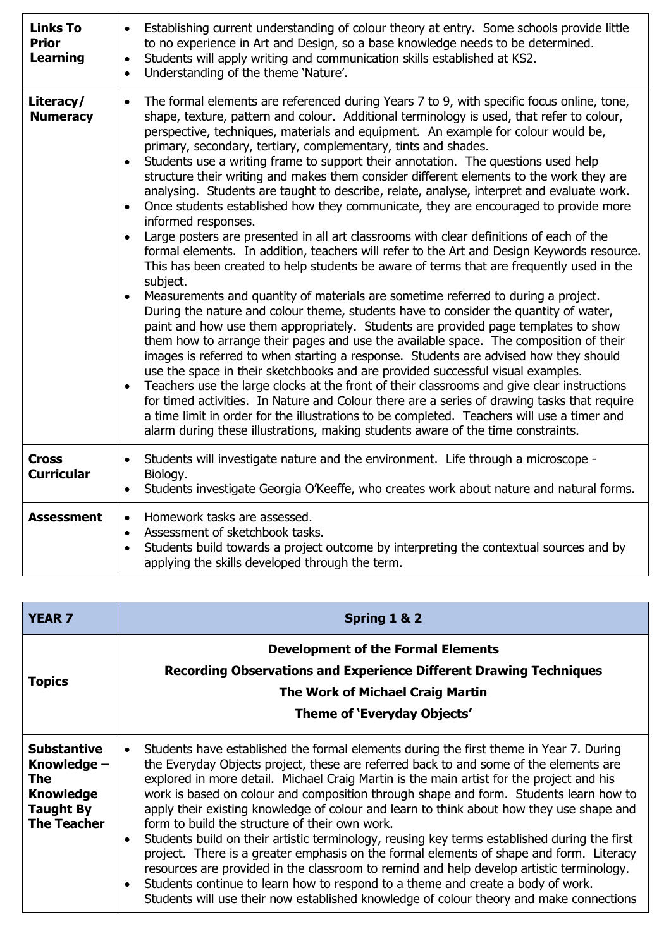| <b>Links To</b><br><b>Prior</b><br>Learning | Establishing current understanding of colour theory at entry. Some schools provide little<br>$\bullet$<br>to no experience in Art and Design, so a base knowledge needs to be determined.<br>Students will apply writing and communication skills established at KS2.<br>$\bullet$<br>Understanding of the theme 'Nature'.<br>$\bullet$                                                                                                                                                                                                                                                                                                                                                                                                                                                                                                                                                                                                                                                                                                                                                                                                                                                                                                                                                                                                                                                                                                                                                                                                                                                                                                                                                                                                                                                                                                                                                                                                                                                                                                       |
|---------------------------------------------|-----------------------------------------------------------------------------------------------------------------------------------------------------------------------------------------------------------------------------------------------------------------------------------------------------------------------------------------------------------------------------------------------------------------------------------------------------------------------------------------------------------------------------------------------------------------------------------------------------------------------------------------------------------------------------------------------------------------------------------------------------------------------------------------------------------------------------------------------------------------------------------------------------------------------------------------------------------------------------------------------------------------------------------------------------------------------------------------------------------------------------------------------------------------------------------------------------------------------------------------------------------------------------------------------------------------------------------------------------------------------------------------------------------------------------------------------------------------------------------------------------------------------------------------------------------------------------------------------------------------------------------------------------------------------------------------------------------------------------------------------------------------------------------------------------------------------------------------------------------------------------------------------------------------------------------------------------------------------------------------------------------------------------------------------|
| Literacy/<br><b>Numeracy</b>                | The formal elements are referenced during Years 7 to 9, with specific focus online, tone,<br>$\bullet$<br>shape, texture, pattern and colour. Additional terminology is used, that refer to colour,<br>perspective, techniques, materials and equipment. An example for colour would be,<br>primary, secondary, tertiary, complementary, tints and shades.<br>Students use a writing frame to support their annotation. The questions used help<br>$\bullet$<br>structure their writing and makes them consider different elements to the work they are<br>analysing. Students are taught to describe, relate, analyse, interpret and evaluate work.<br>Once students established how they communicate, they are encouraged to provide more<br>$\bullet$<br>informed responses.<br>Large posters are presented in all art classrooms with clear definitions of each of the<br>$\bullet$<br>formal elements. In addition, teachers will refer to the Art and Design Keywords resource.<br>This has been created to help students be aware of terms that are frequently used in the<br>subject.<br>Measurements and quantity of materials are sometime referred to during a project.<br>$\bullet$<br>During the nature and colour theme, students have to consider the quantity of water,<br>paint and how use them appropriately. Students are provided page templates to show<br>them how to arrange their pages and use the available space. The composition of their<br>images is referred to when starting a response. Students are advised how they should<br>use the space in their sketchbooks and are provided successful visual examples.<br>Teachers use the large clocks at the front of their classrooms and give clear instructions<br>$\bullet$<br>for timed activities. In Nature and Colour there are a series of drawing tasks that require<br>a time limit in order for the illustrations to be completed. Teachers will use a timer and<br>alarm during these illustrations, making students aware of the time constraints. |
| <b>Cross</b><br><b>Curricular</b>           | Students will investigate nature and the environment. Life through a microscope -<br>$\bullet$<br>Biology.<br>Students investigate Georgia O'Keeffe, who creates work about nature and natural forms.<br>$\bullet$                                                                                                                                                                                                                                                                                                                                                                                                                                                                                                                                                                                                                                                                                                                                                                                                                                                                                                                                                                                                                                                                                                                                                                                                                                                                                                                                                                                                                                                                                                                                                                                                                                                                                                                                                                                                                            |
| <b>Assessment</b>                           | Homework tasks are assessed.<br>$\bullet$<br>Assessment of sketchbook tasks.<br>$\bullet$<br>Students build towards a project outcome by interpreting the contextual sources and by<br>$\bullet$<br>applying the skills developed through the term.                                                                                                                                                                                                                                                                                                                                                                                                                                                                                                                                                                                                                                                                                                                                                                                                                                                                                                                                                                                                                                                                                                                                                                                                                                                                                                                                                                                                                                                                                                                                                                                                                                                                                                                                                                                           |

| <b>YEAR 7</b>                                                                                                 | Spring 1 & 2                                                                                                                                                                                                                                                                                                                                                                                                                                                                                                                                                                                                                                                                                                                                                                                                                                                                                                                                                                                                      |
|---------------------------------------------------------------------------------------------------------------|-------------------------------------------------------------------------------------------------------------------------------------------------------------------------------------------------------------------------------------------------------------------------------------------------------------------------------------------------------------------------------------------------------------------------------------------------------------------------------------------------------------------------------------------------------------------------------------------------------------------------------------------------------------------------------------------------------------------------------------------------------------------------------------------------------------------------------------------------------------------------------------------------------------------------------------------------------------------------------------------------------------------|
| <b>Topics</b>                                                                                                 | <b>Development of the Formal Elements</b><br><b>Recording Observations and Experience Different Drawing Techniques</b><br><b>The Work of Michael Craig Martin</b>                                                                                                                                                                                                                                                                                                                                                                                                                                                                                                                                                                                                                                                                                                                                                                                                                                                 |
|                                                                                                               | Theme of 'Everyday Objects'                                                                                                                                                                                                                                                                                                                                                                                                                                                                                                                                                                                                                                                                                                                                                                                                                                                                                                                                                                                       |
| <b>Substantive</b><br>Knowledge -<br><b>The</b><br><b>Knowledge</b><br><b>Taught By</b><br><b>The Teacher</b> | Students have established the formal elements during the first theme in Year 7. During<br>the Everyday Objects project, these are referred back to and some of the elements are<br>explored in more detail. Michael Craig Martin is the main artist for the project and his<br>work is based on colour and composition through shape and form. Students learn how to<br>apply their existing knowledge of colour and learn to think about how they use shape and<br>form to build the structure of their own work.<br>Students build on their artistic terminology, reusing key terms established during the first<br>$\bullet$<br>project. There is a greater emphasis on the formal elements of shape and form. Literacy<br>resources are provided in the classroom to remind and help develop artistic terminology.<br>Students continue to learn how to respond to a theme and create a body of work.<br>$\bullet$<br>Students will use their now established knowledge of colour theory and make connections |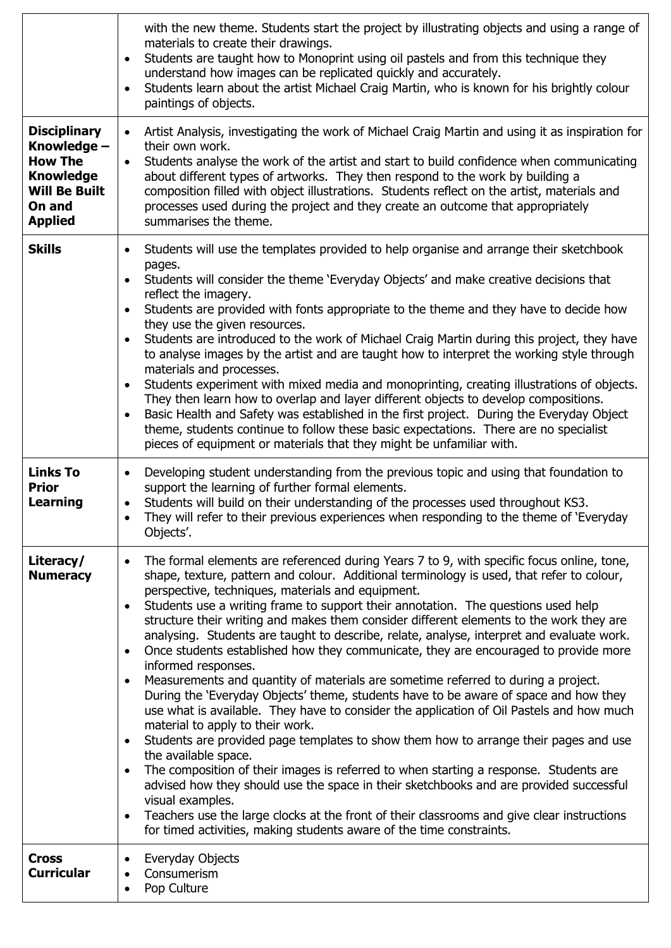|                                                                                                                              | with the new theme. Students start the project by illustrating objects and using a range of<br>materials to create their drawings.<br>Students are taught how to Monoprint using oil pastels and from this technique they<br>$\bullet$<br>understand how images can be replicated quickly and accurately.<br>Students learn about the artist Michael Craig Martin, who is known for his brightly colour<br>paintings of objects.                                                                                                                                                                                                                                                                                                                                                                                                                                                                                                                                                                                                                                                                                                                                                                                                                                                                                                                                                                                                                                                                                  |
|------------------------------------------------------------------------------------------------------------------------------|-------------------------------------------------------------------------------------------------------------------------------------------------------------------------------------------------------------------------------------------------------------------------------------------------------------------------------------------------------------------------------------------------------------------------------------------------------------------------------------------------------------------------------------------------------------------------------------------------------------------------------------------------------------------------------------------------------------------------------------------------------------------------------------------------------------------------------------------------------------------------------------------------------------------------------------------------------------------------------------------------------------------------------------------------------------------------------------------------------------------------------------------------------------------------------------------------------------------------------------------------------------------------------------------------------------------------------------------------------------------------------------------------------------------------------------------------------------------------------------------------------------------|
| <b>Disciplinary</b><br>Knowledge -<br><b>How The</b><br><b>Knowledge</b><br><b>Will Be Built</b><br>On and<br><b>Applied</b> | Artist Analysis, investigating the work of Michael Craig Martin and using it as inspiration for<br>$\bullet$<br>their own work.<br>Students analyse the work of the artist and start to build confidence when communicating<br>$\bullet$<br>about different types of artworks. They then respond to the work by building a<br>composition filled with object illustrations. Students reflect on the artist, materials and<br>processes used during the project and they create an outcome that appropriately<br>summarises the theme.                                                                                                                                                                                                                                                                                                                                                                                                                                                                                                                                                                                                                                                                                                                                                                                                                                                                                                                                                                             |
| <b>Skills</b>                                                                                                                | Students will use the templates provided to help organise and arrange their sketchbook<br>$\bullet$<br>pages.<br>Students will consider the theme 'Everyday Objects' and make creative decisions that<br>reflect the imagery.<br>Students are provided with fonts appropriate to the theme and they have to decide how<br>they use the given resources.<br>Students are introduced to the work of Michael Craig Martin during this project, they have<br>to analyse images by the artist and are taught how to interpret the working style through<br>materials and processes.<br>Students experiment with mixed media and monoprinting, creating illustrations of objects.<br>They then learn how to overlap and layer different objects to develop compositions.<br>Basic Health and Safety was established in the first project. During the Everyday Object<br>theme, students continue to follow these basic expectations. There are no specialist<br>pieces of equipment or materials that they might be unfamiliar with.                                                                                                                                                                                                                                                                                                                                                                                                                                                                                    |
| <b>Links To</b><br><b>Prior</b><br><b>Learning</b>                                                                           | Developing student understanding from the previous topic and using that foundation to<br>$\bullet$<br>support the learning of further formal elements.<br>Students will build on their understanding of the processes used throughout KS3.<br>They will refer to their previous experiences when responding to the theme of 'Everyday<br>$\bullet$<br>Objects'.                                                                                                                                                                                                                                                                                                                                                                                                                                                                                                                                                                                                                                                                                                                                                                                                                                                                                                                                                                                                                                                                                                                                                   |
| Literacy/<br><b>Numeracy</b>                                                                                                 | The formal elements are referenced during Years 7 to 9, with specific focus online, tone,<br>$\bullet$<br>shape, texture, pattern and colour. Additional terminology is used, that refer to colour,<br>perspective, techniques, materials and equipment.<br>Students use a writing frame to support their annotation. The questions used help<br>$\bullet$<br>structure their writing and makes them consider different elements to the work they are<br>analysing. Students are taught to describe, relate, analyse, interpret and evaluate work.<br>Once students established how they communicate, they are encouraged to provide more<br>informed responses.<br>Measurements and quantity of materials are sometime referred to during a project.<br>$\bullet$<br>During the 'Everyday Objects' theme, students have to be aware of space and how they<br>use what is available. They have to consider the application of Oil Pastels and how much<br>material to apply to their work.<br>Students are provided page templates to show them how to arrange their pages and use<br>$\bullet$<br>the available space.<br>The composition of their images is referred to when starting a response. Students are<br>advised how they should use the space in their sketchbooks and are provided successful<br>visual examples.<br>Teachers use the large clocks at the front of their classrooms and give clear instructions<br>$\bullet$<br>for timed activities, making students aware of the time constraints. |
| <b>Cross</b><br><b>Curricular</b>                                                                                            | Everyday Objects<br>Consumerism<br>Pop Culture                                                                                                                                                                                                                                                                                                                                                                                                                                                                                                                                                                                                                                                                                                                                                                                                                                                                                                                                                                                                                                                                                                                                                                                                                                                                                                                                                                                                                                                                    |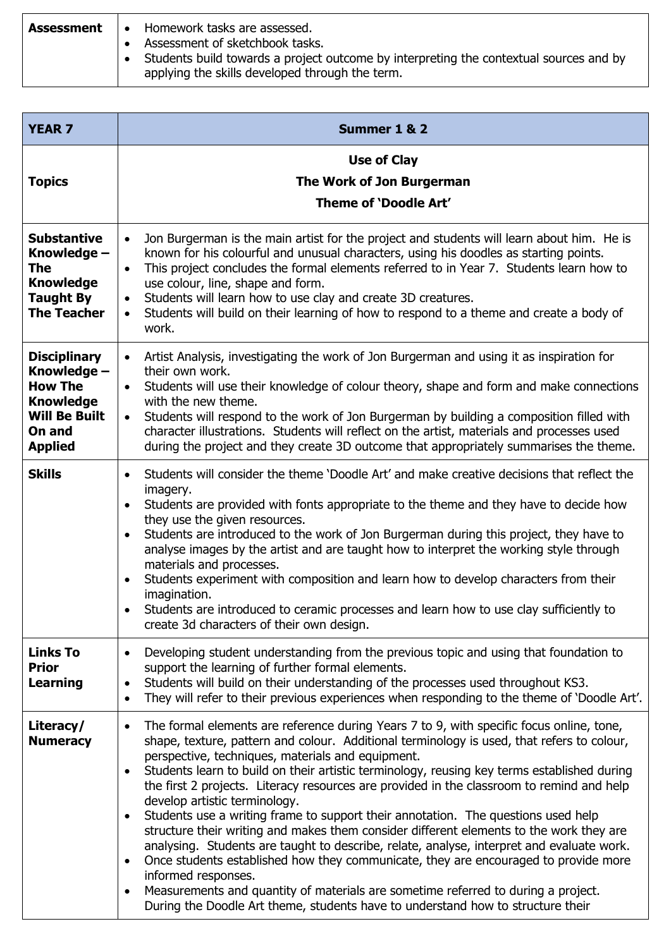| <b>Assessment</b> | Homework tasks are assessed.<br>$\bullet$                                                                                                 |
|-------------------|-------------------------------------------------------------------------------------------------------------------------------------------|
|                   | Assessment of sketchbook tasks.                                                                                                           |
|                   | Students build towards a project outcome by interpreting the contextual sources and by<br>applying the skills developed through the term. |

| <b>YEAR 7</b>                                                                                                                | Summer 1 & 2                                                                                                                                                                                                                                                                                                                                                                                                                                                                                                                                                                                                                                                                                                                                                                                                                                                                                                                                                                                                                                                                                                 |
|------------------------------------------------------------------------------------------------------------------------------|--------------------------------------------------------------------------------------------------------------------------------------------------------------------------------------------------------------------------------------------------------------------------------------------------------------------------------------------------------------------------------------------------------------------------------------------------------------------------------------------------------------------------------------------------------------------------------------------------------------------------------------------------------------------------------------------------------------------------------------------------------------------------------------------------------------------------------------------------------------------------------------------------------------------------------------------------------------------------------------------------------------------------------------------------------------------------------------------------------------|
| <b>Topics</b>                                                                                                                | <b>Use of Clay</b><br>The Work of Jon Burgerman<br>Theme of 'Doodle Art'                                                                                                                                                                                                                                                                                                                                                                                                                                                                                                                                                                                                                                                                                                                                                                                                                                                                                                                                                                                                                                     |
| <b>Substantive</b><br>Knowledge -<br>The<br><b>Knowledge</b><br><b>Taught By</b><br><b>The Teacher</b>                       | Jon Burgerman is the main artist for the project and students will learn about him. He is<br>$\bullet$<br>known for his colourful and unusual characters, using his doodles as starting points.<br>This project concludes the formal elements referred to in Year 7. Students learn how to<br>$\bullet$<br>use colour, line, shape and form.<br>Students will learn how to use clay and create 3D creatures.<br>$\bullet$<br>Students will build on their learning of how to respond to a theme and create a body of<br>$\bullet$<br>work.                                                                                                                                                                                                                                                                                                                                                                                                                                                                                                                                                                   |
| <b>Disciplinary</b><br>Knowledge -<br><b>How The</b><br><b>Knowledge</b><br><b>Will Be Built</b><br>On and<br><b>Applied</b> | Artist Analysis, investigating the work of Jon Burgerman and using it as inspiration for<br>$\bullet$<br>their own work.<br>Students will use their knowledge of colour theory, shape and form and make connections<br>$\bullet$<br>with the new theme.<br>Students will respond to the work of Jon Burgerman by building a composition filled with<br>$\bullet$<br>character illustrations. Students will reflect on the artist, materials and processes used<br>during the project and they create 3D outcome that appropriately summarises the theme.                                                                                                                                                                                                                                                                                                                                                                                                                                                                                                                                                     |
| <b>Skills</b>                                                                                                                | Students will consider the theme 'Doodle Art' and make creative decisions that reflect the<br>$\bullet$<br>imagery.<br>Students are provided with fonts appropriate to the theme and they have to decide how<br>$\bullet$<br>they use the given resources.<br>Students are introduced to the work of Jon Burgerman during this project, they have to<br>$\bullet$<br>analyse images by the artist and are taught how to interpret the working style through<br>materials and processes.<br>Students experiment with composition and learn how to develop characters from their<br>$\bullet$<br>imagination.<br>Students are introduced to ceramic processes and learn how to use clay sufficiently to<br>$\bullet$<br>create 3d characters of their own design.                                                                                                                                                                                                                                                                                                                                              |
| <b>Links To</b><br><b>Prior</b><br><b>Learning</b>                                                                           | Developing student understanding from the previous topic and using that foundation to<br>$\bullet$<br>support the learning of further formal elements.<br>Students will build on their understanding of the processes used throughout KS3.<br>$\bullet$<br>They will refer to their previous experiences when responding to the theme of 'Doodle Art'.<br>$\bullet$                                                                                                                                                                                                                                                                                                                                                                                                                                                                                                                                                                                                                                                                                                                                          |
| Literacy/<br><b>Numeracy</b>                                                                                                 | The formal elements are reference during Years 7 to 9, with specific focus online, tone,<br>$\bullet$<br>shape, texture, pattern and colour. Additional terminology is used, that refers to colour,<br>perspective, techniques, materials and equipment.<br>Students learn to build on their artistic terminology, reusing key terms established during<br>$\bullet$<br>the first 2 projects. Literacy resources are provided in the classroom to remind and help<br>develop artistic terminology.<br>Students use a writing frame to support their annotation. The questions used help<br>$\bullet$<br>structure their writing and makes them consider different elements to the work they are<br>analysing. Students are taught to describe, relate, analyse, interpret and evaluate work.<br>Once students established how they communicate, they are encouraged to provide more<br>$\bullet$<br>informed responses.<br>Measurements and quantity of materials are sometime referred to during a project.<br>$\bullet$<br>During the Doodle Art theme, students have to understand how to structure their |